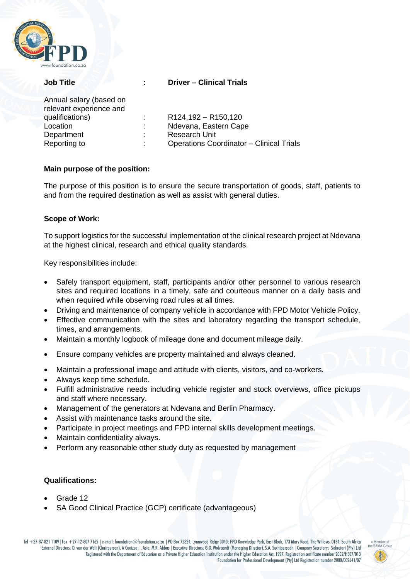

| ÷  | <b>Driver - Clinical Trials</b>                 |
|----|-------------------------------------------------|
|    |                                                 |
|    | R124,192 - R150,120                             |
|    | Ndevana, Eastern Cape                           |
| ٠  | <b>Research Unit</b>                            |
| ٠. | <b>Operations Coordinator - Clinical Trials</b> |
|    |                                                 |

## **Main purpose of the position:**

The purpose of this position is to ensure the secure transportation of goods, staff, patients to and from the required destination as well as assist with general duties.

### **Scope of Work:**

To support logistics for the successful implementation of the clinical research project at Ndevana at the highest clinical, research and ethical quality standards.

Key responsibilities include:

- Safely transport equipment, staff, participants and/or other personnel to various research sites and required locations in a timely, safe and courteous manner on a daily basis and when required while observing road rules at all times.
- Driving and maintenance of company vehicle in accordance with FPD Motor Vehicle Policy.
- Effective communication with the sites and laboratory regarding the transport schedule, times, and arrangements.
- Maintain a monthly logbook of mileage done and document mileage daily.
- Ensure company vehicles are property maintained and always cleaned.
- Maintain a professional image and attitude with clients, visitors, and co‐workers.
- Always keep time schedule.
- Fulfill administrative needs including vehicle register and stock overviews, office pickups and staff where necessary.
- Management of the generators at Ndevana and Berlin Pharmacy.
- Assist with maintenance tasks around the site.
- Participate in project meetings and FPD internal skills development meetings.
- Maintain confidentiality always.
- Perform any reasonable other study duty as requested by management

## **Qualifications:**

- Grade 12
- SA Good Clinical Practice (GCP) certificate (advantageous)